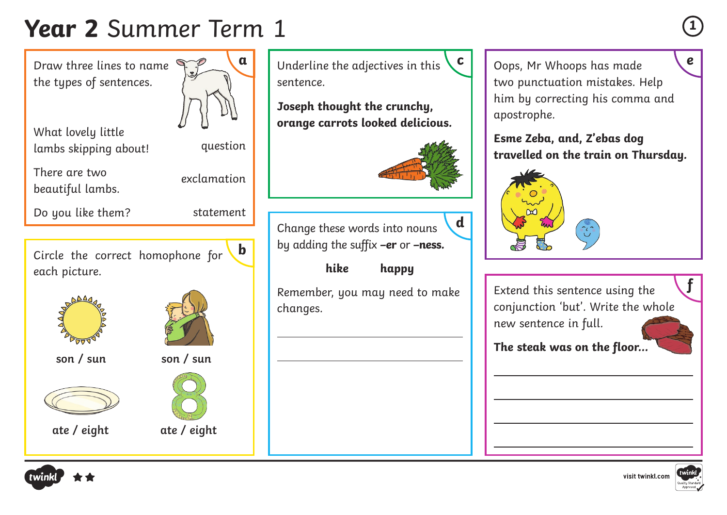## **Year 2** Summer Term 1 **<sup>1</sup>**

Draw three lines to name  $\mathbb{R}$ the types of sentences.

What lovely little lambs skipping about!

There are two



beautiful lambs.

exclamation

Do you like them?



question

 $\overline{a}$ 

 $\overline{a}$ 

Circle the correct homophone for each picture. **b**







**ate / eight ate / eight**





**a** Underline the adjectives in this  $\begin{bmatrix} c \\ \end{bmatrix}$  Oops, Mr Whoops has made sentence.

**Joseph thought the crunchy, orange carrots looked delicious.**



Change these words into nouns by adding the suffix **–er** or **–ness. d**

**hike happy**

Remember, you may need to make changes.

Oops, Mr Whoops has made two punctuation mistakes. Help him by correcting his comma and apostrophe.

**Esme Zeba, and, Z'ebas dog travelled on the train on Thursday.**



Extend this sentence using the conjunction 'but'. Write the whole new sentence in full.

**The steak was on the floor...**

 $\overline{a}$ 

 $\overline{a}$ 

 $\overline{a}$ 



**f**